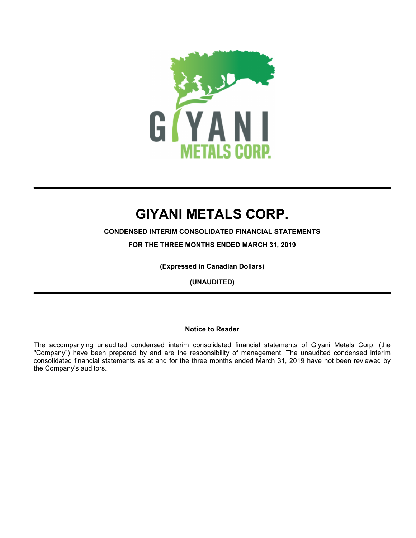

**CONDENSED INTERIM CONSOLIDATED FINANCIAL STATEMENTS**

**FOR THE THREE MONTHS ENDED MARCH 31, 2019**

**(Expressed in Canadian Dollars)**

**(UNAUDITED)**

# **Notice to Reader**

The accompanying unaudited condensed interim consolidated financial statements of Giyani Metals Corp. (the "Company") have been prepared by and are the responsibility of management. The unaudited condensed interim consolidated financial statements as at and for the three months ended March 31, 2019 have not been reviewed by the Company's auditors.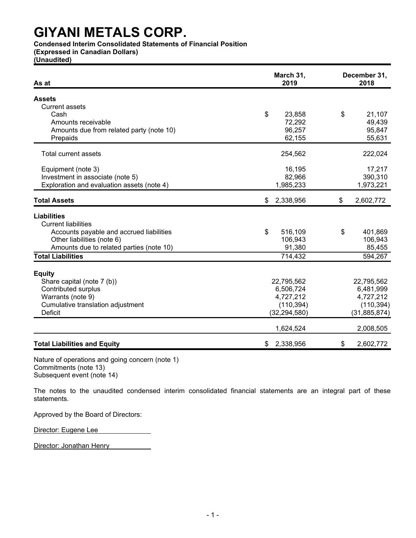**Condensed Interim Consolidated Statements of Financial Position**

**(Expressed in Canadian Dollars)**

**(Unaudited)**

| As at                                      | March 31,<br>2019 | December 31,<br>2018 |
|--------------------------------------------|-------------------|----------------------|
| <b>Assets</b>                              |                   |                      |
| <b>Current assets</b>                      |                   |                      |
| Cash                                       | \$<br>23,858      | \$<br>21,107         |
| Amounts receivable                         | 72,292            | 49,439               |
| Amounts due from related party (note 10)   | 96,257            | 95,847               |
| Prepaids                                   | 62,155            | 55,631               |
| Total current assets                       | 254,562           | 222,024              |
| Equipment (note 3)                         | 16,195            | 17,217               |
| Investment in associate (note 5)           | 82,966            | 390,310              |
| Exploration and evaluation assets (note 4) | 1,985,233         | 1,973,221            |
| <b>Total Assets</b>                        | \$<br>2,338,956   | \$<br>2,602,772      |
| <b>Liabilities</b>                         |                   |                      |
| <b>Current liabilities</b>                 |                   |                      |
| Accounts payable and accrued liabilities   | \$<br>516,109     | \$<br>401,869        |
| Other liabilities (note 6)                 | 106,943           | 106,943              |
| Amounts due to related parties (note 10)   | 91,380            | 85,455               |
| <b>Total Liabilities</b>                   | 714,432           | 594,267              |
|                                            |                   |                      |
| <b>Equity</b>                              |                   |                      |
| Share capital (note 7 (b))                 | 22,795,562        | 22,795,562           |
| <b>Contributed surplus</b>                 | 6,506,724         | 6,481,999            |
| Warrants (note 9)                          | 4,727,212         | 4,727,212            |
| Cumulative translation adjustment          | (110, 394)        | (110, 394)           |
| <b>Deficit</b>                             | (32, 294, 580)    | (31, 885, 874)       |
|                                            | 1,624,524         | 2,008,505            |
| <b>Total Liabilities and Equity</b>        | 2,338,956<br>\$   | \$<br>2,602,772      |

Nature of operations and going concern (note 1) Commitments (note 13) Subsequent event (note 14)

The notes to the unaudited condensed interim consolidated financial statements are an integral part of these statements.

Approved by the Board of Directors:

Director: Eugene Lee

Director: Jonathan Henry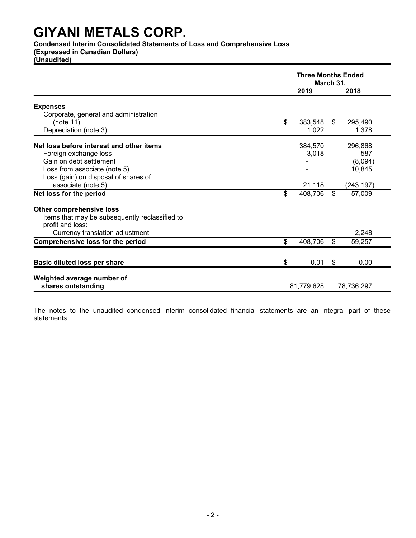**Condensed Interim Consolidated Statements of Loss and Comprehensive Loss**

**(Expressed in Canadian Dollars)**

**(Unaudited)**

|                                                | <b>Three Months Ended</b><br>March 31, |            |      |            |
|------------------------------------------------|----------------------------------------|------------|------|------------|
|                                                |                                        | 2019       |      | 2018       |
| <b>Expenses</b>                                |                                        |            |      |            |
| Corporate, general and administration          |                                        |            |      |            |
| (note 11)                                      | \$                                     | 383,548    | \$   | 295,490    |
| Depreciation (note 3)                          |                                        | 1,022      |      | 1,378      |
| Net loss before interest and other items       |                                        | 384,570    |      | 296,868    |
| Foreign exchange loss                          |                                        | 3,018      |      | 587        |
| Gain on debt settlement                        |                                        |            |      | (8,094)    |
| Loss from associate (note 5)                   |                                        |            |      | 10,845     |
| Loss (gain) on disposal of shares of           |                                        |            |      |            |
| associate (note 5)                             |                                        | 21,118     |      | (243, 197) |
| Net loss for the period                        | \$                                     | 408,706    | \$   | 57,009     |
| <b>Other comprehensive loss</b>                |                                        |            |      |            |
| Items that may be subsequently reclassified to |                                        |            |      |            |
| profit and loss:                               |                                        |            |      |            |
| Currency translation adjustment                |                                        |            |      | 2,248      |
| <b>Comprehensive loss for the period</b>       | \$                                     | 408,706    | \$   | 59,257     |
| <b>Basic diluted loss per share</b>            | \$                                     | 0.01       | - \$ | 0.00       |
| Weighted average number of                     |                                        |            |      |            |
| shares outstanding                             |                                        | 81,779,628 |      | 78,736,297 |

The notes to the unaudited condensed interim consolidated financial statements are an integral part of these statements.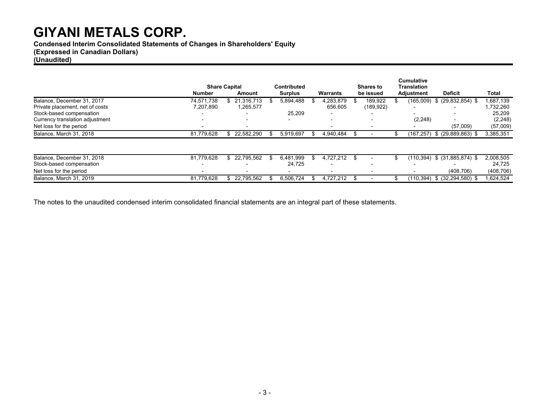**Condensed Interim Consolidated Statements of Changes in Shareholders' Equity**

# **(Expressed in Canadian Dollars)**

# **(Unaudited)**

|                                 |                          |                                |                                      |                          |                               | <b>Cumulative</b>                |                       |            |
|---------------------------------|--------------------------|--------------------------------|--------------------------------------|--------------------------|-------------------------------|----------------------------------|-----------------------|------------|
|                                 | Number                   | <b>Share Capital</b><br>Amount | <b>Contributed</b><br><b>Surplus</b> | <b>Warrants</b>          | <b>Shares to</b><br>be issued | <b>Translation</b><br>Adjustment | <b>Deficit</b>        | Total      |
| Balance, December 31, 2017      | 74.571.738               | 21.316.713                     | 5,894,488                            | 4,283,879                | 189,922                       | (165,009)                        | $$$ (29,832,854) \$   | 1,687,139  |
| Private placement, net of costs | 7,207,890                | 1,265,577                      |                                      | 656,605                  | (189, 922)                    | -                                |                       | 1,732,260  |
| Stock-based compensation        |                          |                                | 25,209                               |                          |                               |                                  |                       | 25,209     |
| Currency translation adjustment |                          |                                | $\overline{\phantom{0}}$             | $\overline{\phantom{0}}$ |                               | (2, 248)                         |                       | (2, 248)   |
| Net loss for the period         |                          |                                |                                      | $\overline{\phantom{0}}$ |                               |                                  | (57,009)              | (57,009)   |
| Balance, March 31, 2018         | 81,779,628               | 22,582,290                     | 5,919,697                            | 4,940,484                |                               | (167,257)                        | $$$ (29,889,863) \$   | 3,385,351  |
|                                 |                          |                                |                                      |                          |                               |                                  |                       |            |
| Balance, December 31, 2018      | 81.779.628               | 22.795.562                     | 6,481,999<br>Эħ.                     | 4.727.212<br>ж,          | \$.                           | (110,394)                        | $$^{(31,885,874)}$ \$ | 2,008,505  |
| Stock-based compensation        | $\overline{\phantom{0}}$ | $\overline{\phantom{0}}$       | 24,725                               | $\overline{\phantom{0}}$ |                               | $\overline{\phantom{0}}$         |                       | 24,725     |
| Net loss for the period         |                          |                                |                                      | $\blacksquare$           |                               | $\overline{\phantom{a}}$         | (408, 706)            | (408, 706) |
| Balance, March 31, 2019         | 81.779.628               | 22.795.562                     | 6.506.724                            | 4.727.212<br>£.          |                               | (110.394)                        | $$ (32, 294, 580)$ \$ | 1.624.524  |

The notes to the unaudited condensed interim consolidated financial statements are an integral part of these statements.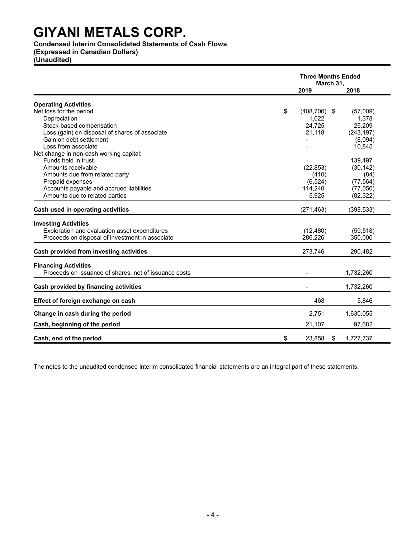# **Condensed Interim Consolidated Statements of Cash Flows**

**(Expressed in Canadian Dollars)**

**(Unaudited)**

|                                                                              | <b>Three Months Ended</b><br>March 31, |    |            |
|------------------------------------------------------------------------------|----------------------------------------|----|------------|
|                                                                              | 2019                                   |    | 2018       |
| <b>Operating Activities</b>                                                  |                                        |    |            |
| Net loss for the period                                                      | \$<br>$(408, 706)$ \$                  |    | (57,009)   |
| Depreciation                                                                 | 1,022                                  |    | 1,378      |
| Stock-based compensation                                                     | 24,725                                 |    | 25,209     |
| Loss (gain) on disposal of shares of associate                               | 21,118                                 |    | (243, 197) |
| Gain on debt settlement                                                      |                                        |    | (8,094)    |
| Loss from associate                                                          |                                        |    | 10,845     |
| Net change in non-cash working capital:                                      |                                        |    |            |
| Funds held in trust                                                          |                                        |    | 139,497    |
| Amounts receivable                                                           | (22, 853)                              |    | (30, 142)  |
| Amounts due from related party                                               | (410)                                  |    | (84)       |
| Prepaid expenses                                                             | (6, 524)                               |    | (77, 564)  |
| Accounts payable and accrued liabilities                                     | 114,240                                |    | (77,050)   |
| Amounts due to related parties                                               | 5,925                                  |    | (82, 322)  |
| Cash used in operating activities                                            | (271, 463)                             |    | (398, 533) |
|                                                                              |                                        |    |            |
| <b>Investing Activities</b><br>Exploration and evaluation asset expenditures |                                        |    |            |
|                                                                              | (12, 480)                              |    | (59, 518)  |
| Proceeds on disposal of investment in associate                              | 286,226                                |    | 350,000    |
| Cash provided from investing activities                                      | 273,746                                |    | 290,482    |
| <b>Financing Activities</b>                                                  |                                        |    |            |
| Proceeds on issuance of shares, net of issuance costs                        |                                        |    | 1,732,260  |
| Cash provided by financing activities                                        |                                        |    | 1,732,260  |
| Effect of foreign exchange on cash                                           | 468                                    |    | 5,846      |
| Change in cash during the period                                             | 2,751                                  |    | 1,630,055  |
|                                                                              |                                        |    |            |
| Cash, beginning of the period                                                | 21,107                                 |    | 97,682     |
| Cash, end of the period                                                      | \$<br>23,858                           | \$ | 1,727,737  |

The notes to the unaudited condensed interim consolidated financial statements are an integral part of these statements.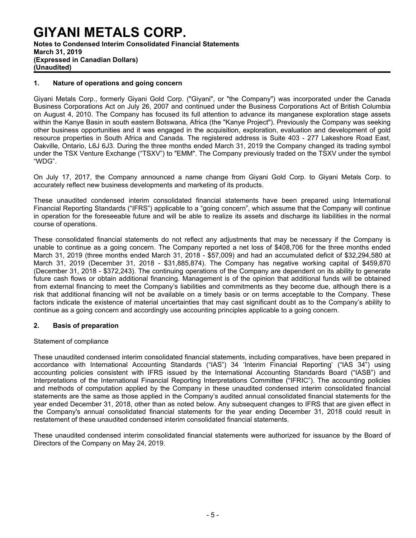# **GIYANI METALS CORP. Notes to Condensed Interim Consolidated Financial Statements March 31, 2019 (Expressed in Canadian Dollars) (Unaudited)**

# **1. Nature of operations and going concern**

Giyani Metals Corp., formerly Giyani Gold Corp. ("Giyani", or "the Company") was incorporated under the Canada Business Corporations Act on July 26, 2007 and continued under the Business Corporations Act of British Columbia on August 4, 2010. The Company has focused its full attention to advance its manganese exploration stage assets within the Kanye Basin in south eastern Botswana, Africa (the "Kanye Project"). Previously the Company was seeking other business opportunities and it was engaged in the acquisition, exploration, evaluation and development of gold resource properties in South Africa and Canada. The registered address is Suite 403 - 277 Lakeshore Road East, Oakville, Ontario, L6J 6J3. During the three months ended March 31, 2019 the Company changed its trading symbol under the TSX Venture Exchange ("TSXV") to "EMM". The Company previously traded on the TSXV under the symbol "WDG".

On July 17, 2017, the Company announced a name change from Giyani Gold Corp. to Giyani Metals Corp. to accurately reflect new business developments and marketing of its products.

These unaudited condensed interim consolidated financial statements have been prepared using International Financial Reporting Standards ("IFRS") applicable to a "going concern", which assume that the Company will continue in operation for the foreseeable future and will be able to realize its assets and discharge its liabilities in the normal course of operations.

These consolidated financial statements do not reflect any adjustments that may be necessary if the Company is unable to continue as a going concern. The Company reported a net loss of \$408,706 for the three months ended March 31, 2019 (three months ended March 31, 2018 - \$57,009) and had an accumulated deficit of \$32,294,580 at March 31, 2019 (December 31, 2018 - \$31,885,874). The Company has negative working capital of \$459,870 (December 31, 2018 - \$372,243). The continuing operations of the Company are dependent on its ability to generate future cash flows or obtain additional financing. Management is of the opinion that additional funds will be obtained from external financing to meet the Company's liabilities and commitments as they become due, although there is a risk that additional financing will not be available on a timely basis or on terms acceptable to the Company. These factors indicate the existence of material uncertainties that may cast significant doubt as to the Company's ability to continue as a going concern and accordingly use accounting principles applicable to a going concern.

### **2. Basis of preparation**

### Statement of compliance

These unaudited condensed interim consolidated financial statements, including comparatives, have been prepared in accordance with International Accounting Standards ("IAS") 34 'Interim Financial Reporting' ("IAS 34") using accounting policies consistent with IFRS issued by the International Accounting Standards Board ("IASB") and Interpretations of the International Financial Reporting Interpretations Committee ("IFRIC"). The accounting policies and methods of computation applied by the Company in these unaudited condensed interim consolidated financial statements are the same as those applied in the Company's audited annual consolidated financial statements for the year ended December 31, 2018, other than as noted below. Any subsequent changes to IFRS that are given effect in the Company's annual consolidated financial statements for the year ending December 31, 2018 could result in restatement of these unaudited condensed interim consolidated financial statements.

These unaudited condensed interim consolidated financial statements were authorized for issuance by the Board of Directors of the Company on May 24, 2019.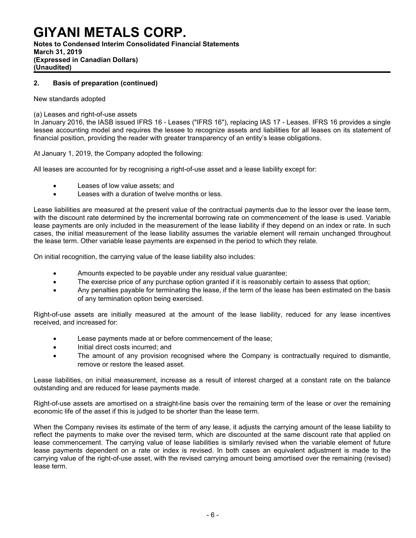# **GIYANI METALS CORP. Notes to Condensed Interim Consolidated Financial Statements**

**March 31, 2019 (Expressed in Canadian Dollars) (Unaudited)**

# **2. Basis of preparation (continued)**

# New standards adopted

# (a) Leases and right-of-use assets

In January 2016, the IASB issued IFRS 16 - Leases ("IFRS 16"), replacing IAS 17 - Leases. IFRS 16 provides a single lessee accounting model and requires the lessee to recognize assets and liabilities for all leases on its statement of financial position, providing the reader with greater transparency of an entity's lease obligations.

At January 1, 2019, the Company adopted the following:

All leases are accounted for by recognising a right-of-use asset and a lease liability except for:

- Leases of low value assets; and
- Leases with a duration of twelve months or less.

Lease liabilities are measured at the present value of the contractual payments due to the lessor over the lease term, with the discount rate determined by the incremental borrowing rate on commencement of the lease is used. Variable lease payments are only included in the measurement of the lease liability if they depend on an index or rate. In such cases, the initial measurement of the lease liability assumes the variable element will remain unchanged throughout the lease term. Other variable lease payments are expensed in the period to which they relate.

On initial recognition, the carrying value of the lease liability also includes:

- Amounts expected to be payable under any residual value guarantee;
- The exercise price of any purchase option granted if it is reasonably certain to assess that option;
- Any penalties payable for terminating the lease, if the term of the lease has been estimated on the basis of any termination option being exercised.

Right-of-use assets are initially measured at the amount of the lease liability, reduced for any lease incentives received, and increased for:

- Lease payments made at or before commencement of the lease;
- Initial direct costs incurred; and
- The amount of any provision recognised where the Company is contractually required to dismantle, remove or restore the leased asset.

Lease liabilities, on initial measurement, increase as a result of interest charged at a constant rate on the balance outstanding and are reduced for lease payments made.

Right-of-use assets are amortised on a straight-line basis over the remaining term of the lease or over the remaining economic life of the asset if this is judged to be shorter than the lease term.

When the Company revises its estimate of the term of any lease, it adjusts the carrying amount of the lease liability to reflect the payments to make over the revised term, which are discounted at the same discount rate that applied on lease commencement. The carrying value of lease liabilities is similarly revised when the variable element of future lease payments dependent on a rate or index is revised. In both cases an equivalent adjustment is made to the carrying value of the right-of-use asset, with the revised carrying amount being amortised over the remaining (revised) lease term.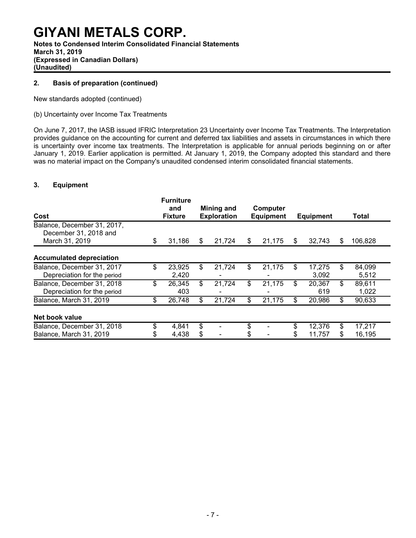# **GIYANI METALS CORP. Notes to Condensed Interim Consolidated Financial Statements**

**March 31, 2019 (Expressed in Canadian Dollars)**

**(Unaudited)**

# **2. Basis of preparation (continued)**

New standards adopted (continued)

# (b) Uncertainty over Income Tax Treatments

On June 7, 2017, the IASB issued IFRIC Interpretation 23 Uncertainty over Income Tax Treatments. The Interpretation provides guidance on the accounting for current and deferred tax liabilities and assets in circumstances in which there is uncertainty over income tax treatments. The Interpretation is applicable for annual periods beginning on or after January 1, 2019. Earlier application is permitted. At January 1, 2019, the Company adopted this standard and there was no material impact on the Company's unaudited condensed interim consolidated financial statements.

# **3. Equipment**

| Cost                                                                         | <b>Furniture</b><br>and<br><b>Fixture</b> |         | Mining and<br><b>Exploration</b> |    | Computer<br><b>Equipment</b> |          | <b>Equipment</b> |          | Total            |
|------------------------------------------------------------------------------|-------------------------------------------|---------|----------------------------------|----|------------------------------|----------|------------------|----------|------------------|
| Balance, December 31, 2017,<br>December 31, 2018 and<br>March 31, 2019<br>\$ | 31,186                                    | S       | 21,724                           | S  | 21,175                       | \$       | 32,743           | \$       | 106,828          |
| <b>Accumulated depreciation</b>                                              |                                           |         |                                  |    |                              |          |                  |          |                  |
| \$<br>Balance, December 31, 2017<br>Depreciation for the period              | 23,925<br>2,420                           | \$.     | 21,724                           | \$ | 21,175                       | \$       | 17,275<br>3,092  | \$       | 84,099<br>5,512  |
| \$<br>Balance, December 31, 2018<br>Depreciation for the period              | 26,345<br>403                             | \$.     | 21,724                           | \$ | 21,175                       | \$       | 20,367<br>619    | \$       | 89,611<br>1,022  |
| \$<br>Balance, March 31, 2019                                                | 26,748                                    | \$      | 21,724                           | \$ | 21,175                       | \$       | 20,986           | \$       | 90,633           |
| Net book value                                                               |                                           |         |                                  |    |                              |          |                  |          |                  |
| \$<br>Balance, December 31, 2018<br>Balance, March 31, 2019                  | 4,841<br>4,438                            | \$<br>S |                                  | \$ |                              | \$<br>\$ | 12.376<br>11,757 | \$<br>\$ | 17.217<br>16,195 |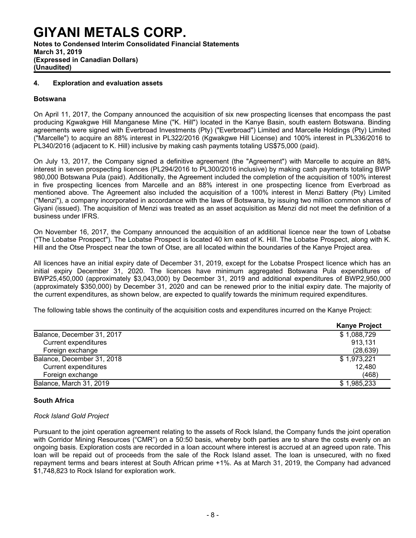# **GIYANI METALS CORP. Notes to Condensed Interim Consolidated Financial Statements March 31, 2019 (Expressed in Canadian Dollars)**

**(Unaudited)**

### **4. Exploration and evaluation assets**

#### **Botswana**

On April 11, 2017, the Company announced the acquisition of six new prospecting licenses that encompass the past producing Kgwakgwe Hill Manganese Mine ("K. Hill") located in the Kanye Basin, south eastern Botswana. Binding agreements were signed with Everbroad Investments (Pty) ("Everbroad") Limited and Marcelle Holdings (Pty) Limited ("Marcelle") to acquire an 88% interest in PL322/2016 (Kgwakgwe Hill License) and 100% interest in PL336/2016 to PL340/2016 (adjacent to K. Hill) inclusive by making cash payments totaling US\$75,000 (paid).

On July 13, 2017, the Company signed a definitive agreement (the "Agreement") with Marcelle to acquire an 88% interest in seven prospecting licences (PL294/2016 to PL300/2016 inclusive) by making cash payments totaling BWP 980,000 Botswana Pula (paid). Additionally, the Agreement included the completion of the acquisition of 100% interest in five prospecting licences from Marcelle and an 88% interest in one prospecting licence from Everbroad as mentioned above. The Agreement also included the acquisition of a 100% interest in Menzi Battery (Pty) Limited ("Menzi"), a company incorporated in accordance with the laws of Botswana, by issuing two million common shares of Giyani (issued). The acquisition of Menzi was treated as an asset acquisition as Menzi did not meet the definition of a business under IFRS.

On November 16, 2017, the Company announced the acquisition of an additional licence near the town of Lobatse ("The Lobatse Prospect"). The Lobatse Prospect is located 40 km east of K. Hill. The Lobatse Prospect, along with K. Hill and the Otse Prospect near the town of Otse, are all located within the boundaries of the Kanye Project area.

All licences have an initial expiry date of December 31, 2019, except for the Lobatse Prospect licence which has an initial expiry December 31, 2020. The licences have minimum aggregated Botswana Pula expenditures of BWP25,450,000 (approximately \$3,043,000) by December 31, 2019 and additional expenditures of BWP2,950,000 (approximately \$350,000) by December 31, 2020 and can be renewed prior to the initial expiry date. The majority of the current expenditures, as shown below, are expected to qualify towards the minimum required expenditures.

The following table shows the continuity of the acquisition costs and expenditures incurred on the Kanye Project:

|                             | <b>Kanye Project</b> |
|-----------------------------|----------------------|
| Balance, December 31, 2017  | \$1,088,729          |
| <b>Current expenditures</b> | 913,131              |
| Foreign exchange            | (28, 639)            |
| Balance, December 31, 2018  | \$1,973,221          |
| <b>Current expenditures</b> | 12,480               |
| Foreign exchange            | (468)                |
| Balance, March 31, 2019     | \$1,985,233          |

### **South Africa**

#### *Rock Island Gold Project*

Pursuant to the joint operation agreement relating to the assets of Rock Island, the Company funds the joint operation with Corridor Mining Resources ("CMR") on a 50:50 basis, whereby both parties are to share the costs evenly on an ongoing basis. Exploration costs are recorded in a loan account where interest is accrued at an agreed upon rate. This loan will be repaid out of proceeds from the sale of the Rock Island asset. The loan is unsecured, with no fixed repayment terms and bears interest at South African prime +1%. As at March 31, 2019, the Company had advanced \$1,748,823 to Rock Island for exploration work.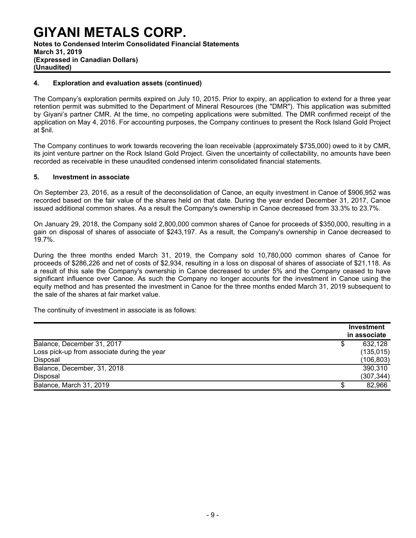# **GIYANI METALS CORP. Notes to Condensed Interim Consolidated Financial Statements March 31, 2019 (Expressed in Canadian Dollars) (Unaudited)**

# **4. Exploration and evaluation assets (continued)**

The Company's exploration permits expired on July 10, 2015. Prior to expiry, an application to extend for a three year retention permit was submitted to the Department of Mineral Resources (the "DMR"). This application was submitted by Giyani's partner CMR. At the time, no competing applications were submitted. The DMR confirmed receipt of the application on May 4, 2016. For accounting purposes, the Company continues to present the Rock Island Gold Project at \$nil.

The Company continues to work towards recovering the loan receivable (approximately \$735,000) owed to it by CMR, its joint venture partner on the Rock Island Gold Project. Given the uncertainty of collectability, no amounts have been recorded as receivable in these unaudited condensed interim consolidated financial statements.

### **5. Investment in associate**

On September 23, 2016, as a result of the deconsolidation of Canoe, an equity investment in Canoe of \$906,952 was recorded based on the fair value of the shares held on that date. During the year ended December 31, 2017, Canoe issued additional common shares. As a result the Company's ownership in Canoe decreased from 33.3% to 23.7%.

On January 29, 2018, the Company sold 2,800,000 common shares of Canoe for proceeds of \$350,000, resulting in a gain on disposal of shares of associate of \$243,197. As a result, the Company's ownership in Canoe decreased to 19.7%.

During the three months ended March 31, 2019, the Company sold 10,780,000 common shares of Canoe for proceeds of \$286,226 and net of costs of \$2,934, resulting in a loss on disposal of shares of associate of \$21,118. As a result of this sale the Company's ownership in Canoe decreased to under 5% and the Company ceased to have significant influence over Canoe. As such the Company no longer accounts for the investment in Canoe using the equity method and has presented the investment in Canoe for the three months ended March 31, 2019 subsequent to the sale of the shares at fair market value.

The continuity of investment in associate is as follows:

|                                             |   | Investment<br>in associate |
|---------------------------------------------|---|----------------------------|
| Balance, December 31, 2017                  | S | 632,128                    |
| Loss pick-up from associate during the year |   | (135, 015)                 |
| Disposal                                    |   | (106, 803)                 |
| Balance, December, 31, 2018                 |   | 390,310                    |
| Disposal                                    |   | (307, 344)                 |
| Balance, March 31, 2019                     |   | 82,966                     |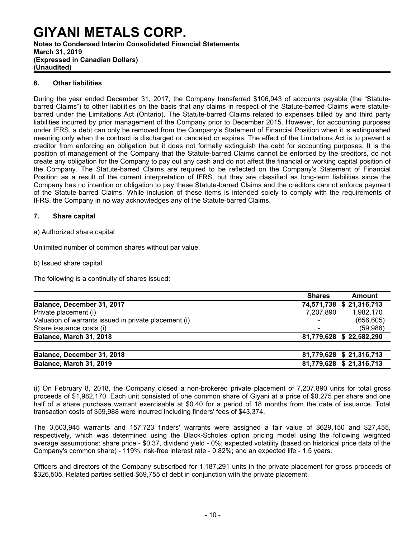**Notes to Condensed Interim Consolidated Financial Statements March 31, 2019 (Expressed in Canadian Dollars) (Unaudited)**

# **6. Other liabilities**

During the year ended December 31, 2017, the Company transferred \$106,943 of accounts payable (the "Statutebarred Claims") to other liabilities on the basis that any claims in respect of the Statute-barred Claims were statutebarred under the Limitations Act (Ontario). The Statute-barred Claims related to expenses billed by and third party liabilities incurred by prior management of the Company prior to December 2015. However, for accounting purposes under IFRS, a debt can only be removed from the Company's Statement of Financial Position when it is extinguished meaning only when the contract is discharged or canceled or expires. The effect of the Limitations Act is to prevent a creditor from enforcing an obligation but it does not formally extinguish the debt for accounting purposes. It is the position of management of the Company that the Statute-barred Claims cannot be enforced by the creditors, do not create any obligation for the Company to pay out any cash and do not affect the financial or working capital position of the Company. The Statute-barred Claims are required to be reflected on the Company's Statement of Financial Position as a result of the current interpretation of IFRS, but they are classified as long-term liabilities since the Company has no intention or obligation to pay these Statute-barred Claims and the creditors cannot enforce payment of the Statute-barred Claims. While inclusion of these items is intended solely to comply with the requirements of IFRS, the Company in no way acknowledges any of the Statute-barred Claims.

# **7. Share capital**

a) Authorized share capital

Unlimited number of common shares without par value.

b) Issued share capital

The following is a continuity of shares issued:

|                                                       | <b>Shares</b> | Amount                   |
|-------------------------------------------------------|---------------|--------------------------|
| Balance, December 31, 2017                            |               | 74,571,738 \$ 21,316,713 |
| Private placement (i)                                 | 7,207,890     | 1,982,170                |
| Valuation of warrants issued in private placement (i) |               | (656, 605)               |
| Share issuance costs (i)                              |               | (59,988)                 |
| Balance, March 31, 2018                               |               | 81,779,628 \$ 22,582,290 |
| Balance, December 31, 2018                            |               | 81,779,628 \$21,316,713  |
| Balance, March 31, 2019                               |               | 81,779,628 \$21,316,713  |

(i) On February 8, 2018, the Company closed a non-brokered private placement of 7,207,890 units for total gross proceeds of \$1,982,170. Each unit consisted of one common share of Giyani at a price of \$0.275 per share and one half of a share purchase warrant exercisable at \$0.40 for a period of 18 months from the date of issuance. Total transaction costs of \$59,988 were incurred including finders' fees of \$43,374.

The 3,603,945 warrants and 157,723 finders' warrants were assigned a fair value of \$629,150 and \$27,455, respectively, which was determined using the Black-Scholes option pricing model using the following weighted average assumptions: share price - \$0.37, dividend yield - 0%; expected volatility (based on historical price data of the Company's common share) - 119%; risk-free interest rate - 0.82%; and an expected life - 1.5 years.

Officers and directors of the Company subscribed for 1,187,291 units in the private placement for gross proceeds of \$326,505. Related parties settled \$69,755 of debt in conjunction with the private placement.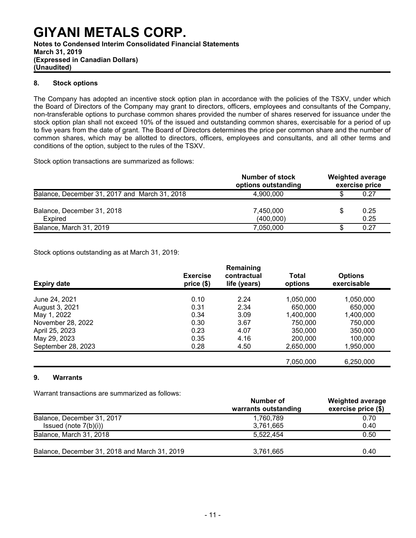**(Expressed in Canadian Dollars)**

**(Unaudited)**

# **8. Stock options**

The Company has adopted an incentive stock option plan in accordance with the policies of the TSXV, under which the Board of Directors of the Company may grant to directors, officers, employees and consultants of the Company, non-transferable options to purchase common shares provided the number of shares reserved for issuance under the stock option plan shall not exceed 10% of the issued and outstanding common shares, exercisable for a period of up to five years from the date of grant. The Board of Directors determines the price per common share and the number of common shares, which may be allotted to directors, officers, employees and consultants, and all other terms and conditions of the option, subject to the rules of the TSXV.

Stock option transactions are summarized as follows:

|                                               | Number of stock<br>options outstanding |   | <b>Weighted average</b><br>exercise price |
|-----------------------------------------------|----------------------------------------|---|-------------------------------------------|
| Balance, December 31, 2017 and March 31, 2018 | 4.900.000                              |   | 0.27                                      |
| Balance, December 31, 2018<br>Expired         | 7,450,000<br>(400,000)                 | S | 0.25<br>0.25                              |
| Balance, March 31, 2019                       | 7,050,000                              |   | 0.27                                      |

Stock options outstanding as at March 31, 2019:

| <b>Expiry date</b> | <b>Exercise</b><br>price(\$) | Remaining<br>contractual<br>life (years) | Total<br>options | <b>Options</b><br>exercisable |
|--------------------|------------------------------|------------------------------------------|------------------|-------------------------------|
| June 24, 2021      | 0.10                         | 2.24                                     | 1,050,000        | 1,050,000                     |
| August 3, 2021     | 0.31                         | 2.34                                     | 650,000          | 650,000                       |
| May 1, 2022        | 0.34                         | 3.09                                     | 1,400,000        | 1,400,000                     |
| November 28, 2022  | 0.30                         | 3.67                                     | 750,000          | 750,000                       |
| April 25, 2023     | 0.23                         | 4.07                                     | 350,000          | 350,000                       |
| May 29, 2023       | 0.35                         | 4.16                                     | 200,000          | 100.000                       |
| September 28, 2023 | 0.28                         | 4.50                                     | 2,650,000        | 1,950,000                     |
|                    |                              |                                          | 7,050,000        | 6,250,000                     |

# **9. Warrants**

Warrant transactions are summarized as follows:

|                                               | Number of<br>warrants outstanding | <b>Weighted average</b><br>exercise price (\$) |
|-----------------------------------------------|-----------------------------------|------------------------------------------------|
| Balance, December 31, 2017                    | 1,760,789                         | 0.70                                           |
| Issued (note $7(b)(i)$ )                      | 3,761,665                         | 0.40                                           |
| Balance, March 31, 2018                       | 5.522.454                         | 0.50                                           |
| Balance, December 31, 2018 and March 31, 2019 | 3,761,665                         | 0.40                                           |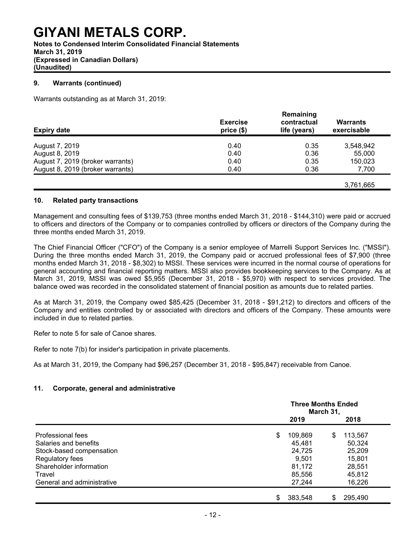**Notes to Condensed Interim Consolidated Financial Statements March 31, 2019 (Expressed in Canadian Dollars) (Unaudited)**

# **9. Warrants (continued)**

Warrants outstanding as at March 31, 2019:

| <b>Expiry date</b>               | <b>Exercise</b><br>price(\$) | Remaining<br>contractual<br>life (years) | Warrants<br>exercisable |
|----------------------------------|------------------------------|------------------------------------------|-------------------------|
| August 7, 2019                   | 0.40                         | 0.35                                     | 3,548,942               |
| August 8, 2019                   | 0.40                         | 0.36                                     | 55,000                  |
| August 7, 2019 (broker warrants) | 0.40                         | 0.35                                     | 150,023                 |
| August 8, 2019 (broker warrants) | 0.40                         | 0.36                                     | 7,700                   |
|                                  |                              |                                          | 3.761.665               |

# **10. Related party transactions**

Management and consulting fees of \$139,753 (three months ended March 31, 2018 - \$144,310) were paid or accrued to officers and directors of the Company or to companies controlled by officers or directors of the Company during the three months ended March 31, 2019.

The Chief Financial Officer ("CFO") of the Company is a senior employee of Marrelli Support Services Inc. ("MSSI"). During the three months ended March 31, 2019, the Company paid or accrued professional fees of \$7,900 (three months ended March 31, 2018 - \$8,302) to MSSI. These services were incurred in the normal course of operations for general accounting and financial reporting matters. MSSI also provides bookkeeping services to the Company. As at March 31, 2019, MSSI was owed \$5,955 (December 31, 2018 - \$5,970) with respect to services provided. The balance owed was recorded in the consolidated statement of financial position as amounts due to related parties.

As at March 31, 2019, the Company owed \$85,425 (December 31, 2018 - \$91,212) to directors and officers of the Company and entities controlled by or associated with directors and officers of the Company. These amounts were included in due to related parties.

Refer to note 5 for sale of Canoe shares.

Refer to note 7(b) for insider's participation in private placements.

As at March 31, 2019, the Company had \$96,257 (December 31, 2018 - \$95,847) receivable from Canoe.

# **11. Corporate, general and administrative**

|                            | <b>Three Months Ended</b><br>March 31, |         |               |  |  |
|----------------------------|----------------------------------------|---------|---------------|--|--|
|                            |                                        | 2019    | 2018          |  |  |
| Professional fees          | \$                                     | 109,869 | \$<br>113,567 |  |  |
| Salaries and benefits      |                                        | 45,481  | 50,324        |  |  |
| Stock-based compensation   |                                        | 24,725  | 25,209        |  |  |
| Regulatory fees            |                                        | 9,501   | 15,801        |  |  |
| Shareholder information    |                                        | 81,172  | 28,551        |  |  |
| Travel                     |                                        | 85,556  | 45,812        |  |  |
| General and administrative |                                        | 27,244  | 16,226        |  |  |
|                            | \$                                     | 383.548 | 295,490<br>S  |  |  |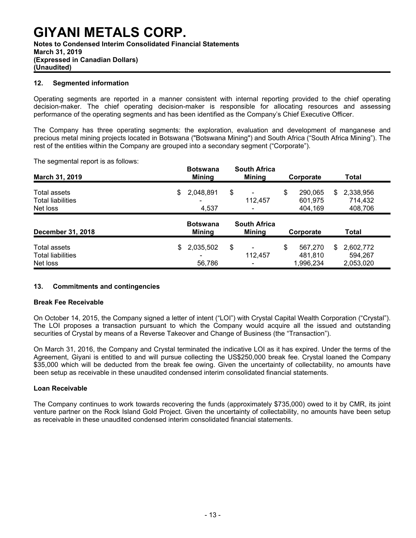### **12. Segmented information**

Operating segments are reported in a manner consistent with internal reporting provided to the chief operating decision-maker. The chief operating decision-maker is responsible for allocating resources and assessing performance of the operating segments and has been identified as the Company's Chief Executive Officer.

The Company has three operating segments: the exploration, evaluation and development of manganese and precious metal mining projects located in Botswana ("Botswana Mining") and South Africa ("South Africa Mining"). The rest of the entities within the Company are grouped into a secondary segment ("Corporate").

The segmental report is as follows:

| March 31, 2019                                       |                                  | <b>Botswana</b><br><b>Mining</b><br>2,048,891<br>4,537 | <b>South Africa</b><br><b>Mining</b> |         | Corporate |                                 | <b>Total</b> |                                   |  |
|------------------------------------------------------|----------------------------------|--------------------------------------------------------|--------------------------------------|---------|-----------|---------------------------------|--------------|-----------------------------------|--|
| Total assets<br><b>Total liabilities</b><br>Net loss | \$                               |                                                        | \$                                   | 112,457 | \$        | 290.065<br>601,975<br>404,169   | \$.          | 2,338,956<br>714,432<br>408,706   |  |
| December 31, 2018                                    | <b>Botswana</b><br><b>Mining</b> |                                                        | <b>South Africa</b><br><b>Mining</b> |         | Corporate |                                 | <b>Total</b> |                                   |  |
| Total assets<br><b>Total liabilities</b><br>Net loss | \$                               | 2,035,502                                              | \$                                   | 112,457 | \$        | 567,270<br>481,810<br>1,996,234 | \$.          | 2,602,772<br>594.267<br>2,053,020 |  |

### **13. Commitments and contingencies**

#### **Break Fee Receivable**

On October 14, 2015, the Company signed a letter of intent ("LOI") with Crystal Capital Wealth Corporation ("Crystal"). The LOI proposes a transaction pursuant to which the Company would acquire all the issued and outstanding securities of Crystal by means of a Reverse Takeover and Change of Business (the "Transaction").

On March 31, 2016, the Company and Crystal terminated the indicative LOI as it has expired. Under the terms of the Agreement, Giyani is entitled to and will pursue collecting the US\$250,000 break fee. Crystal loaned the Company \$35,000 which will be deducted from the break fee owing. Given the uncertainty of collectability, no amounts have been setup as receivable in these unaudited condensed interim consolidated financial statements.

### **Loan Receivable**

The Company continues to work towards recovering the funds (approximately \$735,000) owed to it by CMR, its joint venture partner on the Rock Island Gold Project. Given the uncertainty of collectability, no amounts have been setup as receivable in these unaudited condensed interim consolidated financial statements.